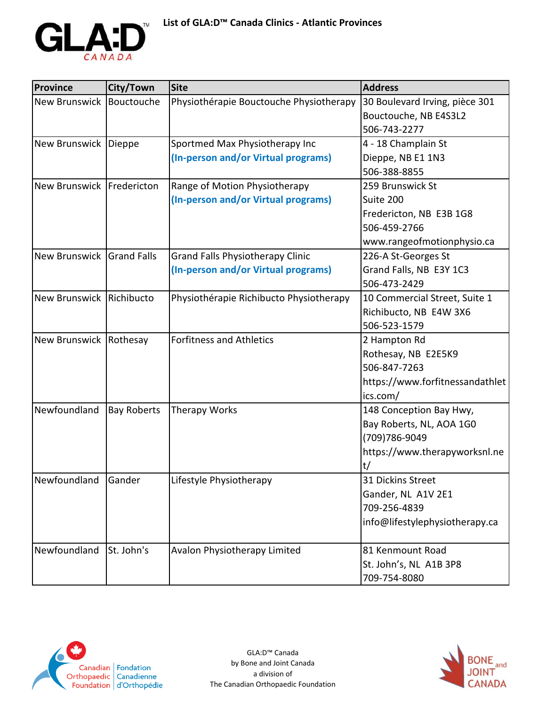

| <b>Province</b>             | City/Town          | <b>Site</b>                             | <b>Address</b>                        |
|-----------------------------|--------------------|-----------------------------------------|---------------------------------------|
| New Brunswick               | Bouctouche         | Physiothérapie Bouctouche Physiotherapy | 30 Boulevard Irving, pièce 301        |
|                             |                    |                                         | Bouctouche, NB E4S3L2<br>506-743-2277 |
| New Brunswick   Dieppe      |                    | Sportmed Max Physiotherapy Inc          | 4 - 18 Champlain St                   |
|                             |                    | (In-person and/or Virtual programs)     | Dieppe, NB E1 1N3                     |
|                             |                    |                                         | 506-388-8855                          |
| New Brunswick   Fredericton |                    | Range of Motion Physiotherapy           | 259 Brunswick St                      |
|                             |                    | (In-person and/or Virtual programs)     | Suite 200                             |
|                             |                    |                                         | Fredericton, NB E3B 1G8               |
|                             |                    |                                         | 506-459-2766                          |
|                             |                    |                                         | www.rangeofmotionphysio.ca            |
| New Brunswick Grand Falls   |                    | <b>Grand Falls Physiotherapy Clinic</b> | 226-A St-Georges St                   |
|                             |                    | (In-person and/or Virtual programs)     | Grand Falls, NB E3Y 1C3               |
|                             |                    |                                         | 506-473-2429                          |
| New Brunswick Richibucto    |                    | Physiothérapie Richibucto Physiotherapy | 10 Commercial Street, Suite 1         |
|                             |                    |                                         | Richibucto, NB E4W 3X6                |
|                             |                    |                                         | 506-523-1579                          |
| New Brunswick Rothesay      |                    | <b>Forfitness and Athletics</b>         | 2 Hampton Rd                          |
|                             |                    |                                         | Rothesay, NB E2E5K9                   |
|                             |                    |                                         | 506-847-7263                          |
|                             |                    |                                         | https://www.forfitnessandathlet       |
|                             |                    |                                         | ics.com/                              |
| Newfoundland                | <b>Bay Roberts</b> | Therapy Works                           | 148 Conception Bay Hwy,               |
|                             |                    |                                         | Bay Roberts, NL, AOA 1G0              |
|                             |                    |                                         | (709)786-9049                         |
|                             |                    |                                         | https://www.therapyworksnl.ne         |
|                             |                    |                                         | t/                                    |
| Newfoundland                | Gander             | Lifestyle Physiotherapy                 | 31 Dickins Street                     |
|                             |                    |                                         | Gander, NL A1V 2E1                    |
|                             |                    |                                         | 709-256-4839                          |
|                             |                    |                                         | info@lifestylephysiotherapy.ca        |
| Newfoundland                | St. John's         | Avalon Physiotherapy Limited            | 81 Kenmount Road                      |
|                             |                    |                                         | St. John's, NL A1B 3P8                |
|                             |                    |                                         | 709-754-8080                          |



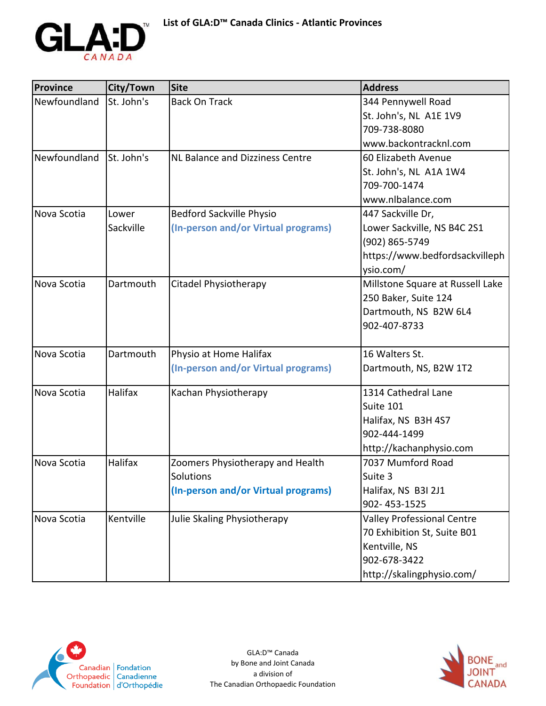

| <b>Province</b> | City/Town  | <b>Site</b>                         | <b>Address</b>                    |
|-----------------|------------|-------------------------------------|-----------------------------------|
| Newfoundland    | St. John's | <b>Back On Track</b>                | 344 Pennywell Road                |
|                 |            |                                     | St. John's, NL A1E 1V9            |
|                 |            |                                     | 709-738-8080                      |
|                 |            |                                     | www.backontracknl.com             |
| Newfoundland    | St. John's | NL Balance and Dizziness Centre     | 60 Elizabeth Avenue               |
|                 |            |                                     | St. John's, NL A1A 1W4            |
|                 |            |                                     | 709-700-1474                      |
|                 |            |                                     | www.nlbalance.com                 |
| Nova Scotia     | Lower      | <b>Bedford Sackville Physio</b>     | 447 Sackville Dr,                 |
|                 | Sackville  | (In-person and/or Virtual programs) | Lower Sackville, NS B4C 2S1       |
|                 |            |                                     | (902) 865-5749                    |
|                 |            |                                     | https://www.bedfordsackvilleph    |
|                 |            |                                     | ysio.com/                         |
| Nova Scotia     | Dartmouth  | Citadel Physiotherapy               | Millstone Square at Russell Lake  |
|                 |            |                                     | 250 Baker, Suite 124              |
|                 |            |                                     | Dartmouth, NS B2W 6L4             |
|                 |            |                                     | 902-407-8733                      |
|                 |            |                                     |                                   |
| Nova Scotia     | Dartmouth  | Physio at Home Halifax              | 16 Walters St.                    |
|                 |            | (In-person and/or Virtual programs) | Dartmouth, NS, B2W 1T2            |
|                 |            |                                     |                                   |
| Nova Scotia     | Halifax    | Kachan Physiotherapy                | 1314 Cathedral Lane               |
|                 |            |                                     | Suite 101                         |
|                 |            |                                     | Halifax, NS B3H 4S7               |
|                 |            |                                     | 902-444-1499                      |
|                 |            |                                     | http://kachanphysio.com           |
| Nova Scotia     | Halifax    | Zoomers Physiotherapy and Health    | 7037 Mumford Road                 |
|                 |            | Solutions                           | Suite 3                           |
|                 |            | (In-person and/or Virtual programs) | Halifax, NS B3I 2J1               |
|                 |            |                                     | 902-453-1525                      |
| Nova Scotia     | Kentville  | Julie Skaling Physiotherapy         | <b>Valley Professional Centre</b> |
|                 |            |                                     | 70 Exhibition St, Suite B01       |
|                 |            |                                     | Kentville, NS                     |
|                 |            |                                     | 902-678-3422                      |
|                 |            |                                     | http://skalingphysio.com/         |



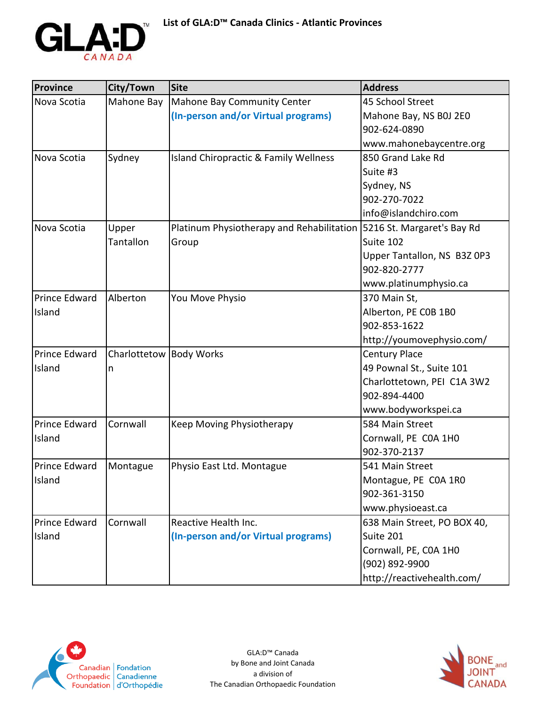

| <b>Province</b> | City/Town               | <b>Site</b>                                      | <b>Address</b>              |
|-----------------|-------------------------|--------------------------------------------------|-----------------------------|
| Nova Scotia     | Mahone Bay              | Mahone Bay Community Center                      | 45 School Street            |
|                 |                         | (In-person and/or Virtual programs)              | Mahone Bay, NS B0J 2E0      |
|                 |                         |                                                  | 902-624-0890                |
|                 |                         |                                                  | www.mahonebaycentre.org     |
| Nova Scotia     | Sydney                  | <b>Island Chiropractic &amp; Family Wellness</b> | 850 Grand Lake Rd           |
|                 |                         |                                                  | Suite #3                    |
|                 |                         |                                                  | Sydney, NS                  |
|                 |                         |                                                  | 902-270-7022                |
|                 |                         |                                                  | info@islandchiro.com        |
| Nova Scotia     | Upper                   | Platinum Physiotherapy and Rehabilitation        | 5216 St. Margaret's Bay Rd  |
|                 | Tantallon               | Group                                            | Suite 102                   |
|                 |                         |                                                  | Upper Tantallon, NS B3Z 0P3 |
|                 |                         |                                                  | 902-820-2777                |
|                 |                         |                                                  | www.platinumphysio.ca       |
| Prince Edward   | Alberton                | You Move Physio                                  | 370 Main St,                |
| Island          |                         |                                                  | Alberton, PE COB 1BO        |
|                 |                         |                                                  | 902-853-1622                |
|                 |                         |                                                  | http://youmovephysio.com/   |
| Prince Edward   | Charlottetow Body Works |                                                  | <b>Century Place</b>        |
| Island          | n                       |                                                  | 49 Pownal St., Suite 101    |
|                 |                         |                                                  | Charlottetown, PEI C1A 3W2  |
|                 |                         |                                                  | 902-894-4400                |
|                 |                         |                                                  | www.bodyworkspei.ca         |
| Prince Edward   | Cornwall                | Keep Moving Physiotherapy                        | 584 Main Street             |
| Island          |                         |                                                  | Cornwall, PE COA 1H0        |
|                 |                         |                                                  | 902-370-2137                |
| Prince Edward   | Montague                | Physio East Ltd. Montague                        | 541 Main Street             |
| Island          |                         |                                                  | Montague, PE COA 1RO        |
|                 |                         |                                                  | 902-361-3150                |
|                 |                         |                                                  | www.physioeast.ca           |
| Prince Edward   | Cornwall                | Reactive Health Inc.                             | 638 Main Street, PO BOX 40, |
| Island          |                         | (In-person and/or Virtual programs)              | Suite 201                   |
|                 |                         |                                                  | Cornwall, PE, COA 1HO       |
|                 |                         |                                                  | (902) 892-9900              |
|                 |                         |                                                  | http://reactivehealth.com/  |